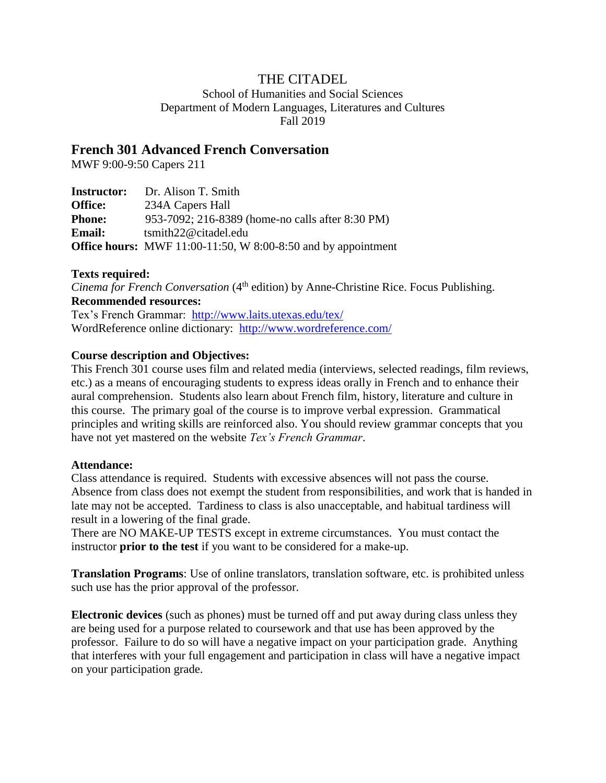# THE CITADEL

School of Humanities and Social Sciences Department of Modern Languages, Literatures and Cultures Fall 2019

# **French 301 Advanced French Conversation**

MWF 9:00-9:50 Capers 211

| <b>Instructor:</b> | Dr. Alison T. Smith                                                       |
|--------------------|---------------------------------------------------------------------------|
| <b>Office:</b>     | 234A Capers Hall                                                          |
| <b>Phone:</b>      | 953-7092; 216-8389 (home-no calls after 8:30 PM)                          |
| <b>Email:</b>      | $t$ smith22@citadel.edu                                                   |
|                    | <b>Office hours:</b> MWF $11:00-11:50$ , W $8:00-8:50$ and by appointment |

## **Texts required:**

*Cinema for French Conversation* (4<sup>th</sup> edition) by Anne-Christine Rice. Focus Publishing. **Recommended resources:**

Tex's French Grammar: <http://www.laits.utexas.edu/tex/> WordReference online dictionary: <http://www.wordreference.com/>

## **Course description and Objectives:**

This French 301 course uses film and related media (interviews, selected readings, film reviews, etc.) as a means of encouraging students to express ideas orally in French and to enhance their aural comprehension. Students also learn about French film, history, literature and culture in this course. The primary goal of the course is to improve verbal expression. Grammatical principles and writing skills are reinforced also. You should review grammar concepts that you have not yet mastered on the website *Tex's French Grammar*.

#### **Attendance:**

Class attendance is required. Students with excessive absences will not pass the course. Absence from class does not exempt the student from responsibilities, and work that is handed in late may not be accepted. Tardiness to class is also unacceptable, and habitual tardiness will result in a lowering of the final grade.

There are NO MAKE-UP TESTS except in extreme circumstances. You must contact the instructor **prior to the test** if you want to be considered for a make-up.

**Translation Programs**: Use of online translators, translation software, etc. is prohibited unless such use has the prior approval of the professor.

**Electronic devices** (such as phones) must be turned off and put away during class unless they are being used for a purpose related to coursework and that use has been approved by the professor. Failure to do so will have a negative impact on your participation grade. Anything that interferes with your full engagement and participation in class will have a negative impact on your participation grade.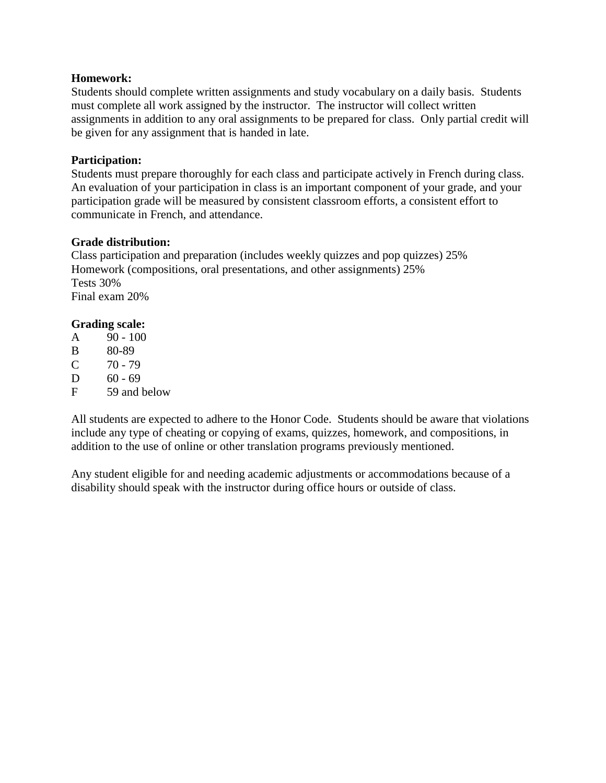#### **Homework:**

Students should complete written assignments and study vocabulary on a daily basis. Students must complete all work assigned by the instructor. The instructor will collect written assignments in addition to any oral assignments to be prepared for class. Only partial credit will be given for any assignment that is handed in late.

## **Participation:**

Students must prepare thoroughly for each class and participate actively in French during class. An evaluation of your participation in class is an important component of your grade, and your participation grade will be measured by consistent classroom efforts, a consistent effort to communicate in French, and attendance.

## **Grade distribution:**

Class participation and preparation (includes weekly quizzes and pop quizzes) 25% Homework (compositions, oral presentations, and other assignments) 25% Tests 30% Final exam 20%

# **Grading scale:**

- A 90 100
- B 80-89
- $C = 70 79$
- $D = 60 69$
- F 59 and below

All students are expected to adhere to the Honor Code. Students should be aware that violations include any type of cheating or copying of exams, quizzes, homework, and compositions, in addition to the use of online or other translation programs previously mentioned.

Any student eligible for and needing academic adjustments or accommodations because of a disability should speak with the instructor during office hours or outside of class.